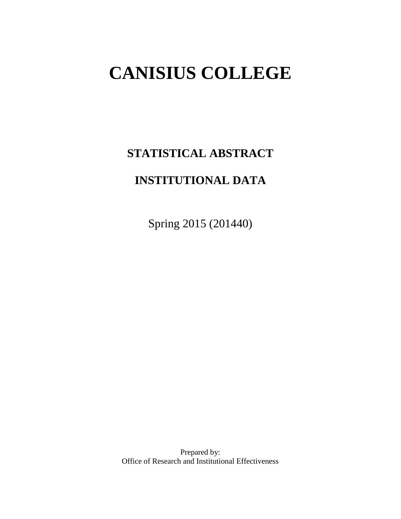# **CANISIUS COLLEGE**

**STATISTICAL ABSTRACT** 

# **INSTITUTIONAL DATA**

Spring 2015 (201440)

Prepared by: Office of Research and Institutional Effectiveness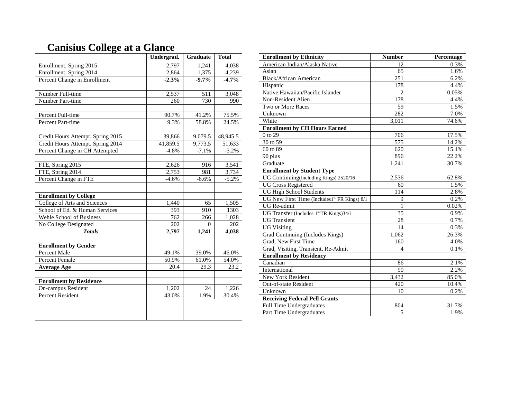|                                   | Undergrad. | <b>Graduate</b>  | <b>Total</b>          |
|-----------------------------------|------------|------------------|-----------------------|
| Enrollment, Spring 2015           | 2,797      | 1,241            | 4,038                 |
| Enrollment, Spring 2014           | 2,864      | 1,375            | 4,239                 |
| Percent Change in Enrollment      | $-2.3%$    | $-9.7\%$         | $-4.7%$               |
|                                   |            |                  |                       |
| Number Full-time                  | 2,537      | $\overline{511}$ | 3,048                 |
| Number Part-time                  | 260        | 730              | 990                   |
|                                   |            |                  |                       |
| Percent Full-time                 | 90.7%      | 41.2%            | 75.5%                 |
| <b>Percent Part-time</b>          | 9.3%       | 58.8%            | 24.5%                 |
|                                   |            |                  |                       |
| Credit Hours Attempt. Spring 2015 | 39,866     | 9,079.5          | $48,945.\overline{5}$ |
| Credit Hours Attempt. Spring 2014 | 41,859.5   | 9,773.5          | 51,633                |
| Percent Change in CH Attempted    | $-4.8%$    | $-7.1%$          | $-5.2%$               |
|                                   |            |                  |                       |
| FTE, Spring 2015                  | 2,626      | 916              | 3,541                 |
| FTE, Spring 2014                  | 2,753      | 981              | 3,734                 |
| Percent Change in FTE             | $-4.6%$    | $-6.6%$          | $-5.2%$               |
|                                   |            |                  |                       |
| <b>Enrollment by College</b>      |            |                  |                       |
| College of Arts and Sciences      | 1,440      | 65               | 1,505                 |
| School of Ed. & Human Services    | 393        | 910              | 1303                  |
| Wehle School of Business          | 762        | 266              | 1,028                 |
| No College Designated             | 202        | $\Omega$         | 202                   |
| <b>Totals</b>                     | 2,797      | 1,241            | 4,038                 |
| <b>Enrollment by Gender</b>       |            |                  |                       |
| Percent Male                      | 49.1%      | 39.0%            | 46.0%                 |
| <b>Percent Female</b>             | 50.9%      | 61.0%            | 54.0%                 |
| <b>Average Age</b>                | 20.4       | 29.3             | 23.2                  |
|                                   |            |                  |                       |
| <b>Enrollment by Residence</b>    |            |                  |                       |
| On-campus Resident                | 1,202      | 24               | 1,226                 |
| <b>Percent Resident</b>           | 43.0%      | 1.9%             | 30.4%                 |
|                                   |            |                  |                       |
|                                   |            |                  |                       |
|                                   |            |                  |                       |

# **Canisius College at a Glance**

| <b>Enrollment by Ethnicity</b>                           | <b>Number</b>            | Percentage |
|----------------------------------------------------------|--------------------------|------------|
| American Indian/Alaska Native                            | 12                       | 0.3%       |
| Asian                                                    | 65                       | 1.6%       |
| <b>Black/African American</b>                            | 251                      | 6.2%       |
| Hispanic                                                 | 178                      | 4.4%       |
| Native Hawaiian/Pacific Islander                         | $\overline{c}$           | 0.05%      |
| Non-Resident Alien                                       | 178                      | 4.4%       |
| Two or More Races                                        | 59                       | 1.5%       |
| Unknown                                                  | 282                      | 7.0%       |
| White                                                    | 3,011                    | 74.6%      |
| <b>Enrollment by CH Hours Earned</b>                     |                          |            |
| $0$ to $29$                                              | 706                      | 17.5%      |
| 30 to 59                                                 | 575                      | 14.2%      |
| 60 to 89                                                 | 620                      | 15.4%      |
| 90 plus                                                  | 896                      | 22.2%      |
| Graduate                                                 | 1,241                    | 30.7%      |
| <b>Enrollment by Student Type</b>                        |                          |            |
| UG Continuing(Including Kings) 2520/16                   | 2,536                    | 62.8%      |
| <b>UG Cross Registered</b>                               | 60                       | 1.5%       |
| <b>UG High School Students</b>                           | 114                      | 2.8%       |
| UG New First Time (Includes1 <sup>st</sup> FR Kings) 8/1 | 9                        | 0.2%       |
| UG Re-admit                                              | $\mathbf{1}$             | 0.02%      |
| UG Transfer (Includes 1st TR Kings)34/1                  | $\overline{35}$          | 0.9%       |
| <b>UG</b> Transient                                      | 28                       | 0.7%       |
| <b>UG Visiting</b>                                       | 14                       | 0.3%       |
| Grad Continuing (Includes Kings)                         | 1,062                    | 26.3%      |
| Grad, New First Time                                     | 160                      | 4.0%       |
| Grad, Visiting, Transient, Re-Admit                      | $\overline{\mathcal{L}}$ | 0.1%       |
| <b>Enrollment by Residency</b>                           |                          |            |
| Canadian                                                 | 86                       | 2.1%       |
| International                                            | 90                       | 2.2%       |
| <b>New York Resident</b>                                 | $\overline{3,}432$       | 85.0%      |
| Out-of-state Resident                                    | 420                      | 10.4%      |
| Unknown                                                  | 10                       | 0.2%       |
| <b>Receiving Federal Pell Grants</b>                     |                          |            |
| Full Time Undergraduates                                 | 804                      | 31.7%      |
| Part Time Undergraduates                                 | 5                        | 1.9%       |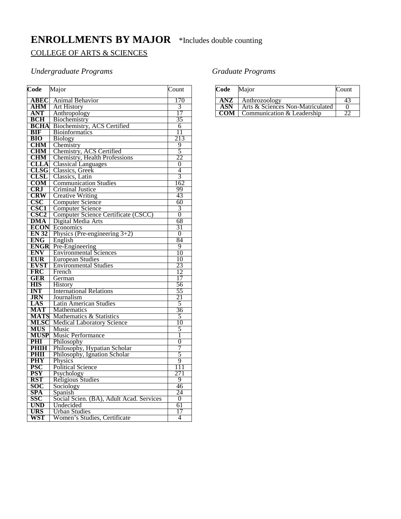# **ENROLLMENTS BY MAJOR** \*Includes double counting

#### COLLEGE OF ARTS & SCIENCES

#### *Undergraduate Programs*

| Code                     | Major                                        | Count          |
|--------------------------|----------------------------------------------|----------------|
| <b>ABEC</b>              | <b>Animal Behavior</b>                       | 170            |
| ${\bf AHM}$              | <b>Art History</b>                           | 3              |
| ANT                      | Anthropology                                 | 17             |
| <b>BCH</b>               | Biochemistry                                 | 35             |
| <b>BCHA</b>              | Biochemistry, ACS Certified                  | 6              |
| <b>BIF</b>               | <b>Bioinformatics</b>                        | 11             |
| <b>BIO</b>               | <b>Biology</b>                               | 213            |
| <b>CHM</b>               | Chemistry                                    | 9              |
| <b>CHM</b>               | Chemistry, ACS Certified                     | 5              |
| <b>CHM</b>               | <b>Chemistry, Health Professions</b>         | 22             |
| <b>CLLA</b>              | <b>Classical Languages</b>                   | $\theta$       |
| <b>CLSG</b>              | Classics, Greek                              | 4              |
| <b>CLSL</b>              | Classics, Latin                              | $\overline{3}$ |
| <b>COM</b>               | <b>Communication Studies</b>                 | 162            |
| <b>CRJ</b>               | <b>Criminal Justice</b>                      | 99             |
| <b>CRW</b>               | <b>Creative Writing</b>                      | 43             |
| CSC                      | <b>Computer Science</b>                      | 60             |
| <b>CSC1</b>              | <b>Computer Science</b>                      | 3              |
| $\overline{\text{CSC2}}$ | Computer Science Certificate (CSCC)          | $\overline{0}$ |
| <b>DMA</b>               | Digital Media Arts                           | 68             |
| <b>ECON</b>              | Economics                                    | 31             |
| <b>EN 32</b>             | Physics (Pre-engineering $3+2$ )             | $\overline{0}$ |
| <b>ENG</b>               | English                                      | 84             |
| <b>ENGR</b>              | Pre-Engineering                              | 9              |
| <b>ENV</b>               | <b>Environmental Sciences</b>                | 10             |
| <b>EUR</b>               | <b>European Studies</b>                      | 10             |
| <b>EVST</b>              | <b>Environmental Studies</b>                 | 23             |
| <b>FRC</b>               | French                                       | 12             |
| <b>GER</b>               | German                                       | 17             |
| <b>HIS</b>               | History                                      | 56             |
| <b>INT</b>               | <b>International Relations</b><br>Journalism | 55             |
| <b>JRN</b><br>LAS        | <b>Latin American Studies</b>                | 21<br>5        |
| MAT                      | <b>Mathematics</b>                           | 36             |
| <b>MATS</b>              | Mathematics & Statistics                     | 5              |
| <b>MLSC</b>              | <b>Medical Laboratory Science</b>            | 10             |
| <b>MUS</b>               | Music                                        | 5              |
| <b>MUSP</b>              | Music Performance                            | 1              |
| PHI                      | Philosophy                                   | 0              |
| <b>PHIH</b>              | Philosophy, Hypatian Scholar                 | 7              |
| PHII                     | Philosophy, Ignation Scholar                 | 5              |
| PHY                      | Physics                                      | 9              |
| <b>PSC</b>               | <b>Political Science</b>                     | 111            |
| <b>PSY</b>               | Psychology                                   | 271            |
| <b>RST</b>               | <b>Religious Studies</b>                     | 9              |
| SOC                      | Sociology                                    | 46             |
| <b>SPA</b>               | Spanish                                      | 24             |
| SSC                      | Social Scien. (BA), Adult Acad. Services     | $\Omega$       |
| <b>UND</b>               | Undecided                                    | 61             |
| <b>URS</b>               | <b>Urban Studies</b>                         | 17             |
| WST                      | Women's Studies, Certificate                 | 4              |

#### *Graduate Programs*

| Code | Major                            | Count |
|------|----------------------------------|-------|
| ANZ  | Anthrozoology                    | 4٠    |
| ASN  | Arts & Sciences Non-Matriculated |       |
| COM  | Communication & Leadership       |       |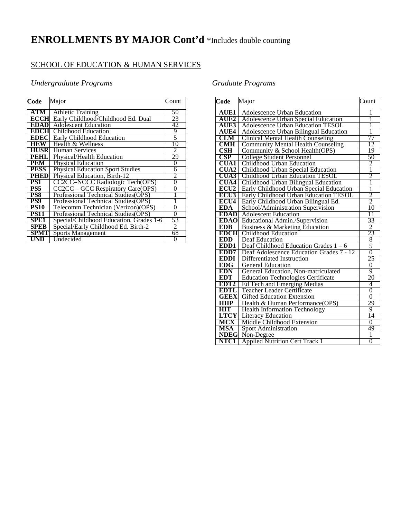# **ENROLLMENTS BY MAJOR Cont'd** \*Includes double counting

## SCHOOL OF EDUCATION & HUMAN SERVICES

#### *Undergraduate Programs*

| Code        | Major                                    | Count          |
|-------------|------------------------------------------|----------------|
| ATM         | <b>Athletic Training</b>                 | 50             |
| <b>ECCH</b> | Early Childhood/Childhood Ed. Dual       | 23             |
| <b>EDAD</b> | <b>Adolescent Education</b>              | 42             |
| EDCHI       | Childhood Education                      | 9              |
| EDECI       | Early Childhood Education                | 5              |
| <b>HEW</b>  | Health & Wellness                        | 10             |
| <b>HUSR</b> | <b>Human Services</b>                    | 2              |
| PEHL.       | Physical/Health Education                | 29             |
| <b>PEM</b>  | Physical Education                       | 0              |
| <b>PESS</b> | <b>Physical Education Sport Studies</b>  | 6              |
| <b>PHED</b> | Physical Education, Birth-12             | 2              |
| PS1         | CC2CC-NCCC Radiologic Tech(OPS)          | $\overline{0}$ |
| PS5         | <b>CC2CC – GCC Respiratory Care(OPS)</b> | 0              |
| PS8         | Professional Technical Studies(OPS)      |                |
| PS9         | Professional Technical Studies (OPS)     |                |
| <b>PS10</b> | Telecomm Technician (Verizon) (OPS)      | 0              |
| <b>PS11</b> | Professional Technical Studies(OPS)      | 0              |
| <b>SPE1</b> | Special/Childhood Education, Grades 1-6  | 53             |
| <b>SPEB</b> | Special/Early Childhood Ed. Birth-2      | $\mathfrak{D}$ |
| <b>SPMT</b> | <b>Sports Management</b>                 | 68             |
| UND         | Undecided                                | 0              |

#### *Graduate Programs*

| Code                    | Major                                       | Count          |
|-------------------------|---------------------------------------------|----------------|
| <b>AUE1</b>             | <b>Adolescence Urban Education</b>          | 1              |
| <b>AUE2</b>             | Adolescence Urban Special Education         | 1              |
| <b>AUE3</b>             | Adolescence Urban Education TESOL           | 1              |
| <b>AUE4</b>             | Adolescence Urban Bilingual Education       | 1              |
| CLM                     | <b>Clinical Mental Health Counseling</b>    | 77             |
| <b>CMH</b>              | <b>Community Mental Health Counseling</b>   | 12             |
| $\overline{\text{CSH}}$ | Community & School Health(OPS)              | 19             |
| CSP                     | <b>College Student Personnel</b>            | 50             |
| <b>CUA1</b>             | Childhood Urban Education                   |                |
| CUA2                    | Childhood Urban Special Education           | $\frac{2}{1}$  |
|                         | <b>CUA3</b> Childhood Urban Education TESOL | $\overline{c}$ |
| <b>CUA4</b>             | Childhood Urban Bilingual Education         | 1              |
| ECU <sub>2</sub>        | Early Childhood Urban Special Education     | Ī              |
| ECU3                    | Early Childhood Urban Education TESOL       | $\overline{2}$ |
| <b>ECU4</b>             | Early Childhood Urban Bilingual Ed.         | $\overline{2}$ |
| EDA                     | School/Administration Supervision           | 10             |
|                         | <b>EDAD</b> Adolescent Education            | 11             |
|                         | <b>EDAO</b> Educational Admin./Supervision  | 33             |
| <b>EDB</b>              | Business & Marketing Education              | $\overline{c}$ |
| <b>EDCH</b>             | Childhood Education                         | 23             |
| <b>EDD</b>              | Deaf Education                              | 8              |
| EDD1                    | Deaf Childhood Education Grades $1 - 6$     | 5              |
| EDD7                    | Deaf Adolescence Education Grades 7 - 12    | 0              |
| <b>EDDI</b>             | Differentiated Instruction                  | 25             |
| <b>EDG</b>              | <b>General Education</b>                    | $\overline{0}$ |
| <b>EDN</b>              | General Education, Non-matriculated         | 9              |
| <b>EDT</b>              | <b>Education Technologies Certificate</b>   | 20             |
| EDT2                    | Ed Tech and Emerging Medias                 | 4              |
| EDTL                    | <b>Teacher Leader Certificate</b>           | 0              |
| <b>GEEX</b>             | <b>Gifted Education Extension</b>           | $\overline{0}$ |
| <b>HHP</b>              | Health & Human Performance (OPS)            | 29             |
| HIT                     | <b>Health Information Technology</b>        | 9              |
| LTCY                    | <b>Literacy Education</b>                   | 14             |
| MCX                     | Middle Childhood Extension                  | $\overline{0}$ |
| MSA                     | <b>Sport Administration</b>                 | 49             |
| <b>NDEG</b>             | Non-Degree                                  | 1              |
| NTC1                    | <b>Applied Nutrition Cert Track 1</b>       | $\overline{0}$ |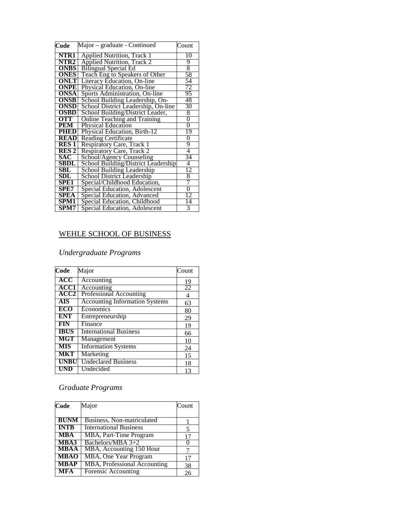| Code         | Major – graduate - Continued        | Count          |
|--------------|-------------------------------------|----------------|
| NTR1         | Applied Nutrition, Track 1          | 10             |
| NTR2         | <b>Applied Nutrition, Track 2</b>   | 9              |
| <b>ONBS</b>  | <b>Bilingual Special Ed</b>         | 8              |
| <b>ONES</b>  | Teach Eng to Speakers of Other      | 58             |
| <b>ONLT</b>  | Literacy Education, On-line         | 54             |
| <b>ONPE</b>  | Physical Education, On-line         | 72             |
| <b>ONSA</b>  | Sports Administration, On-line      | 95             |
| <b>ONSB</b>  | School Building Leadership, On-     | 48             |
| ONSD         | School District Leadership, On-line | 30             |
| <b>OSBD</b>  | School Building/District Leader,    | 8              |
| <b>OTT</b>   | Online Teaching and Training        | 0              |
| <b>PEM</b>   | <b>Physical Education</b>           | $\overline{0}$ |
| <b>PHED</b>  | Physical Education, Birth-12        | 19             |
| <b>READ</b>  | <b>Reading Certificate</b>          | 0              |
| <b>RES 1</b> | Respiratory Care, Track 1           | 9              |
| <b>RES 2</b> | Respiratory Care, Track 2           | 4              |
| <b>SAC</b>   | School/Agency Counseling            | 34             |
| SBDL         | School Building/District Leadership | 4              |
| SBL          | School Building Leadership          | 12             |
| SDL          | <b>School District Leadership</b>   | 8              |
| SPE1         | Special/Childhood Education,        | 7              |
| SPE7         | Special Education, Adolescent       | $\Omega$       |
| <b>SPEA</b>  | Special Education, Advanced         | 12             |
| SPM1         | Special Education, Childhood        | 14             |
| SPM7         | Special Education, Adolescent       | 3              |

#### WEHLE SCHOOL OF BUSINESS

#### *Undergraduate Programs*

| $\overline{\text{Code}}$ | Major                                 | Count |
|--------------------------|---------------------------------------|-------|
| ACC                      | Accounting                            | 19    |
| <b>ACC1</b>              | Accounting                            | 22    |
| ACC2                     | Professional Accounting               | 4     |
| <b>AIS</b>               | <b>Accounting Information Systems</b> | 63    |
| <b>ECO</b>               | Economics                             | 80    |
| <b>ENT</b>               | Entrepreneurship                      | 29    |
| FIN                      | Finance                               | 19    |
| <b>IBUS</b>              | <b>International Business</b>         | 66    |
| <b>MGT</b>               | Management                            | 10    |
| <b>MIS</b>               | <b>Information Systems</b>            | 24    |
| <b>MKT</b>               | Marketing                             | 15    |
| <b>UNBU</b>              | <b>Undeclared Business</b>            | 18    |
| UND                      | Undecided                             | 13    |

# *Graduate Programs*

| Code        | Major                               | Count |
|-------------|-------------------------------------|-------|
| <b>BUNM</b> | Business, Non-matriculated          |       |
| <b>INTB</b> | <b>International Business</b>       | 5     |
| <b>MBA</b>  | MBA, Part-Time Program              | 17    |
| MBA3        | Bachelors/MBA 3+2                   |       |
| <b>MBAA</b> | MBA, Accounting 150 Hour            |       |
| <b>MBAO</b> | MBA, One Year Program               | 17    |
| <b>MBAP</b> | <b>MBA, Professional Accounting</b> | 38    |
| <b>MFA</b>  | <b>Forensic Accounting</b>          | 26    |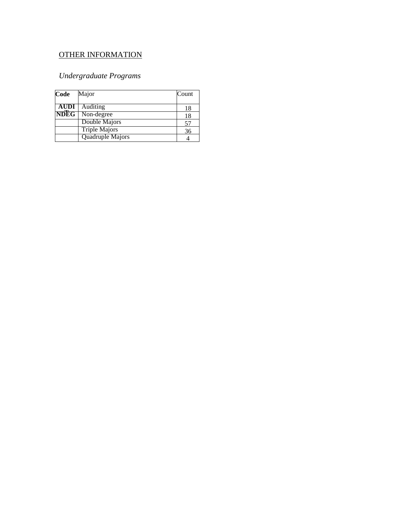#### OTHER INFORMATION

#### *Undergraduate Programs*

| Code              | Major                | Count |
|-------------------|----------------------|-------|
|                   |                      |       |
| AUDI              | Auditing             | 18    |
| NDEG <sup>1</sup> | Non-degree           | 18    |
|                   | Double Majors        |       |
|                   | <b>Triple Majors</b> | 36    |
|                   | Quadruple Majors     |       |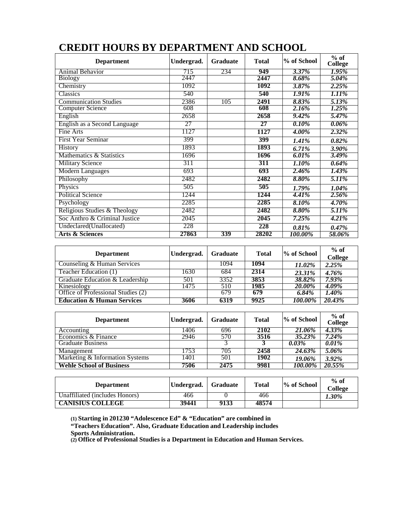| <b>Department</b>             | Undergrad. | <b>Graduate</b> | <b>Total</b> | % of School | $%$ of<br><b>College</b> |
|-------------------------------|------------|-----------------|--------------|-------------|--------------------------|
| Animal Behavior               | 715        | 234             | 949          | 3.37%       | 1.95%                    |
| <b>Biology</b>                | 2447       |                 | 2447         | 8.68%       | 5.04%                    |
| Chemistry                     | 1092       |                 | 1092         | 3.87%       | 2.25%                    |
| Classics                      | 540        |                 | 540          | 1.91%       | 1.11%                    |
| <b>Communication Studies</b>  | 2386       | 105             | 2491         | 8.83%       | 5.13%                    |
| <b>Computer Science</b>       | 608        |                 | 608          | 2.16%       | 1.25%                    |
| English                       | 2658       |                 | 2658         | 9.42%       | 5.47%                    |
| English as a Second Language  | 27         |                 | 27           | 0.10%       | $0.06\%$                 |
| Fine Arts                     | 1127       |                 | 1127         | 4.00%       | 2.32%                    |
| <b>First Year Seminar</b>     | 399        |                 | 399          | 1.41%       | 0.82%                    |
| History                       | 1893       |                 | 1893         | 6.71%       | 3.90%                    |
| Mathematics & Statistics      | 1696       |                 | 1696         | 6.01%       | 3.49%                    |
| <b>Military Science</b>       | 311        |                 | 311          | 1.10%       | 0.64%                    |
| <b>Modern Languages</b>       | 693        |                 | 693          | 2.46%       | 1.43%                    |
| Philosophy                    | 2482       |                 | 2482         | 8.80%       | 5.11%                    |
| Physics                       | 505        |                 | 505          | 1.79%       | 1.04%                    |
| <b>Political Science</b>      | 1244       |                 | 1244         | 4.41%       | 2.56%                    |
| Psychology                    | 2285       |                 | 2285         | 8.10%       | 4.70%                    |
| Religious Studies & Theology  | 2482       |                 | 2482         | 8.80%       | 5.11%                    |
| Soc Anthro & Criminal Justice | 2045       |                 | 2045         | 7.25%       | 4.21%                    |
| Undeclared(Unallocated)       | 228        |                 | 228          | 0.81%       | 0.47%                    |
| <b>Arts &amp; Sciences</b>    | 27863      | 339             | 28202        | 100.00%     | 58.06%                   |

# **CREDIT HOURS BY DEPARTMENT AND SCHOOL**

| <b>Department</b>                     | Undergrad. | Graduate | <b>Total</b> | % of School   | $%$ of<br><b>College</b> |
|---------------------------------------|------------|----------|--------------|---------------|--------------------------|
| Counseling & Human Services           |            | 1094     | 1094         | 11.02%        | 2.25%                    |
| Teacher Education (1)                 | 1630       | 684      | 2314         | 23.31%        | 4.76%                    |
| Graduate Education & Leadership       | 501        | 3352     | 3853         | 38.82%        | 7.93%                    |
| Kinesiology                           | 1475       | 510      | 1985         | <b>20.00%</b> | 4.09%                    |
| Office of Professional Studies (2)    |            | 679      | 679          | 6.84%         | 1.40%                    |
| <b>Education &amp; Human Services</b> | 3606       | 6319     | 9925         | 100.00%       | 20.43%                   |

| <b>Department</b>               | Undergrad. | <b>Graduate</b>   | <b>Total</b> | % of School   | $%$ of<br>College |
|---------------------------------|------------|-------------------|--------------|---------------|-------------------|
| Accounting                      | 1406       | 696               | 2102         | 21.06%        | $4.33\%$          |
| Economics & Finance             | 2946       | 570               | 3516         | 35.23%        | 7.24%             |
| <b>Graduate Business</b>        |            |                   |              | $0.03\%$      | $0.01\%$          |
| Management                      | 1753       | 705               | 2458         | <b>24.63%</b> | 5.06%             |
| Marketing & Information Systems | 1401       | 501               | 1902         | 19.06%        | 3.92%             |
| <b>Wehle School of Business</b> | 7506       | $24\overline{75}$ | 9981         | 100.00%       | 20.55%            |

| <b>Department</b>              | Undergrad. | <b>Graduate</b> | <b>Total</b> | % of School | $%$ of<br>College |
|--------------------------------|------------|-----------------|--------------|-------------|-------------------|
| Unaffiliated (includes Honors) | 466        |                 | 466          |             | 1.30%             |
| <b>CANISIUS COLLEGE</b>        | 39441      | 9133            | 48574        |             |                   |

**(1) Starting in 201230 "Adolescence Ed" & "Education" are combined in**

**"Teachers Education". Also, Graduate Education and Leadership includes**

**Sports Administration.**

**(2) Office of Professional Studies is a Department in Education and Human Services.**